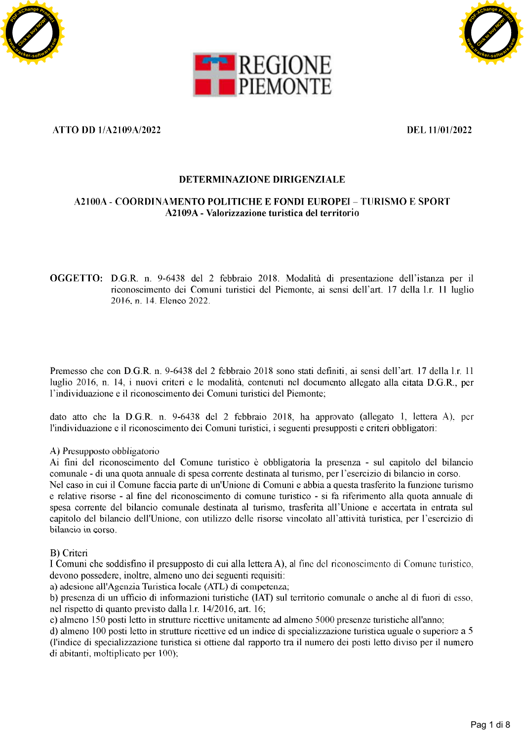





**Constraints and Constraints of the BCF Constraint of the BCF Constraints of the BCF Constraints and Constraints of the BCF Constraints of the BCF Constraints of the BCF Constraints of the BCF Constraint of the BCF Constr**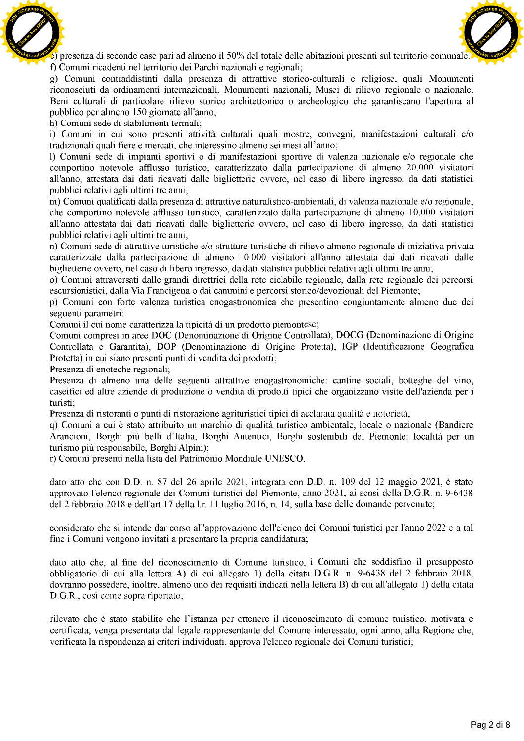



**Click to the state of the state of the state of the state of the state of the state of the state of the state of the state of the state of the state of the state of the state of the state of the state of the state of the** 

[Click to buy NOW!](http://www.tracker-software.com/buy-now) **<sup>P</sup>DF-XCha<sup>n</sup>g<sup>e</sup> <sup>P</sup>roduc<sup>t</sup>**

**w**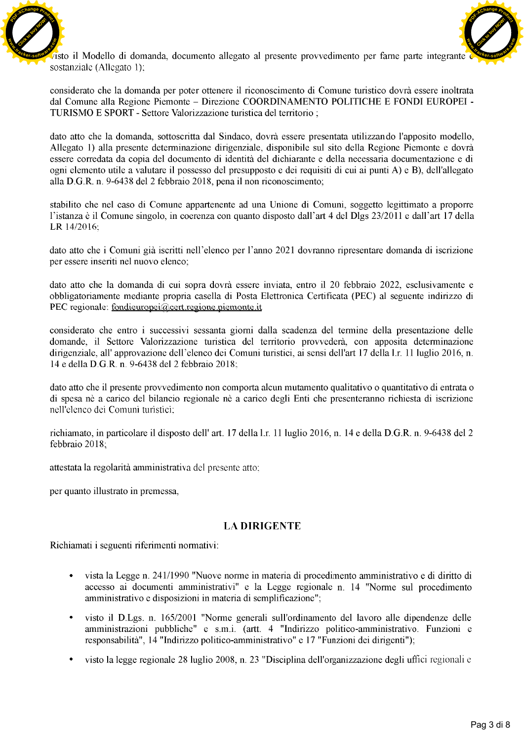



**Click to buy Note the Control of the Click to buy Note is presented by the client of the Control of the Control of the Control of the Control of the Control of the Control of the Control of the Control of the Control of t** 

- 
- 
-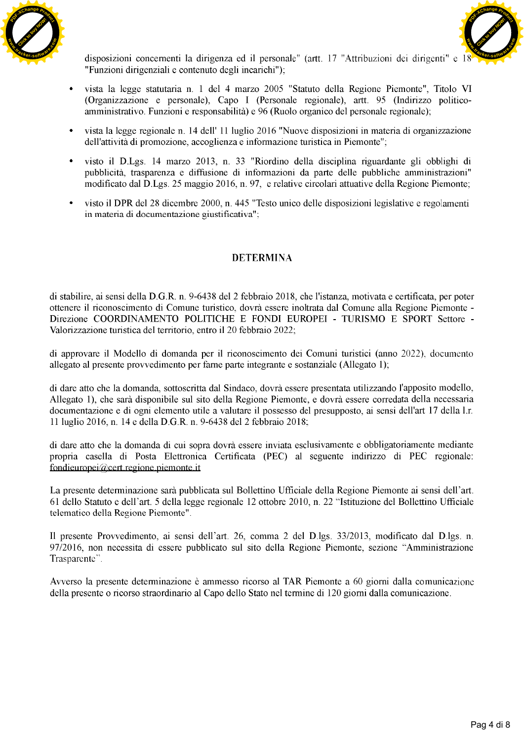



- 
- 
- 
- 

**C**<br>
Supposition statistical distinguish of the control of the statistical distinguish of the statistical distinguish of the statistical distinguish of the statistical distinguish of the statistical distinguish of the sta